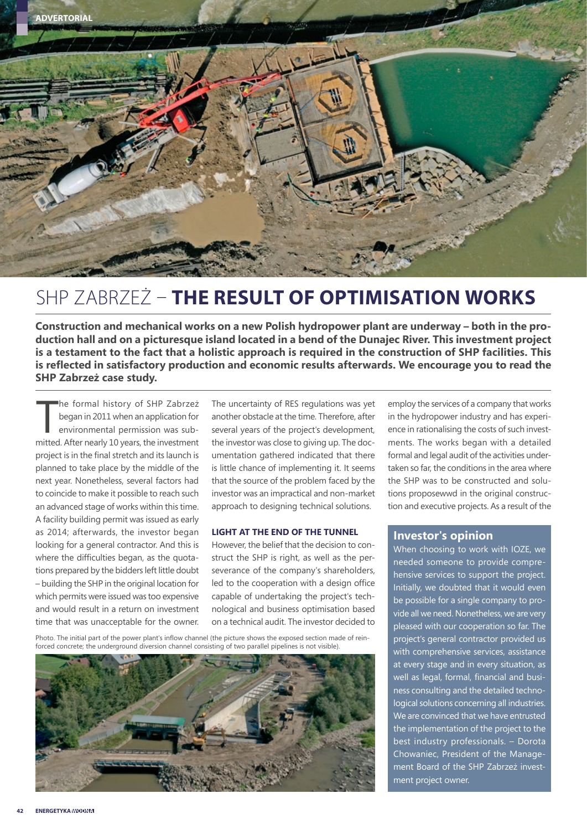

### SHP ZABRZEŻ – **THE RESULT OF OPTIMISATION WORKS**

**Construction and mechanical works on a new Polish hydropower plant are underway – both in the production hall and on a picturesque island located in a bend of the Dunajec River. This investment project is a testament to the fact that a holistic approach is required in the construction of SHP facilities. This is reflected in satisfactory production and economic results afterwards. We encourage you to read the SHP Zabrzeż case study.**

he formal history of SHP Zabrzeż<br>began in 2011 when an application for<br>environmental permission was sub-<br>mitted. After nearly 10 years, the investment he formal history of SHP Zabrzeż began in 2011 when an application for environmental permission was subproject is in the final stretch and its launch is planned to take place by the middle of the next year. Nonetheless, several factors had to coincide to make it possible to reach such an advanced stage of works within this time. A facility building permit was issued as early as 2014; afterwards, the investor began looking for a general contractor. And this is where the difficulties began, as the quotations prepared by the bidders left little doubt – building the SHP in the original location for which permits were issued was too expensive and would result in a return on investment time that was unacceptable for the owner.

The uncertainty of RES regulations was yet another obstacle at the time. Therefore, after several years of the project's development, the investor was close to giving up. The documentation gathered indicated that there is little chance of implementing it. It seems that the source of the problem faced by the investor was an impractical and non-market approach to designing technical solutions.

#### **LIGHT AT THE END OF THE TUNNEL**

However, the belief that the decision to construct the SHP is right, as well as the perseverance of the company's shareholders, led to the cooperation with a design office capable of undertaking the project's technological and business optimisation based on a technical audit. The investor decided to

Photo. The initial part of the power plant's inflow channel (the picture shows the exposed section made of reinforced concrete; the underground diversion channel consisting of two parallel pipelines is not visible).



employ the services of a company that works in the hydropower industry and has experience in rationalising the costs of such investments. The works began with a detailed formal and legal audit of the activities undertaken so far, the conditions in the area where the SHP was to be constructed and solutions proposewwd in the original construction and executive projects. As a result of the

#### **Investor's opinion**

When choosing to work with IOZE, we needed someone to provide comprehensive services to support the project. Initially, we doubted that it would even be possible for a single company to provide all we need. Nonetheless, we are very pleased with our cooperation so far. The project's general contractor provided us with comprehensive services, assistance at every stage and in every situation, as well as legal, formal, financial and business consulting and the detailed technological solutions concerning all industries. We are convinced that we have entrusted the implementation of the project to the best industry professionals. – Dorota Chowaniec, President of the Management Board of the SHP Zabrzeż investment project owner.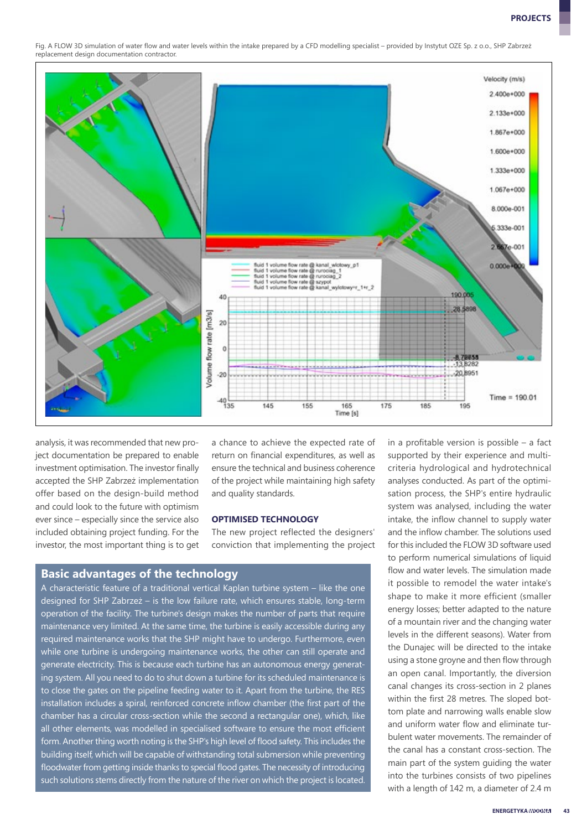Fig. A FLOW 3D simulation of water flow and water levels within the intake prepared by a CFD modelling specialist – provided by Instytut OZE Sp. z o.o., SHP Zabrzeż replacement design documentation contractor.



analysis, it was recommended that new project documentation be prepared to enable investment optimisation. The investor finally accepted the SHP Zabrzeż implementation offer based on the design-build method and could look to the future with optimism ever since – especially since the service also included obtaining project funding. For the investor, the most important thing is to get

a chance to achieve the expected rate of return on financial expenditures, as well as ensure the technical and business coherence of the project while maintaining high safety and quality standards.

#### **OPTIMISED TECHNOLOGY**

The new project reflected the designers' conviction that implementing the project

#### **Basic advantages of the technology**

A characteristic feature of a traditional vertical Kaplan turbine system – like the one designed for SHP Zabrzeż – is the low failure rate, which ensures stable, long-term operation of the facility. The turbine's design makes the number of parts that require maintenance very limited. At the same time, the turbine is easily accessible during any required maintenance works that the SHP might have to undergo. Furthermore, even while one turbine is undergoing maintenance works, the other can still operate and generate electricity. This is because each turbine has an autonomous energy generating system. All you need to do to shut down a turbine for its scheduled maintenance is to close the gates on the pipeline feeding water to it. Apart from the turbine, the RES installation includes a spiral, reinforced concrete inflow chamber (the first part of the chamber has a circular cross-section while the second a rectangular one), which, like all other elements, was modelled in specialised software to ensure the most efficient form. Another thing worth noting is the SHP's high level of flood safety. This includes the building itself, which will be capable of withstanding total submersion while preventing floodwater from getting inside thanks to special flood gates. The necessity of introducing such solutions stems directly from the nature of the river on which the project is located.

in a profitable version is possible – a fact supported by their experience and multicriteria hydrological and hydrotechnical analyses conducted. As part of the optimisation process, the SHP's entire hydraulic system was analysed, including the water intake, the inflow channel to supply water and the inflow chamber. The solutions used for this included the FLOW 3D software used to perform numerical simulations of liquid flow and water levels. The simulation made it possible to remodel the water intake's shape to make it more efficient (smaller energy losses; better adapted to the nature of a mountain river and the changing water levels in the different seasons). Water from the Dunajec will be directed to the intake using a stone groyne and then flow through an open canal. Importantly, the diversion canal changes its cross-section in 2 planes within the first 28 metres. The sloped bottom plate and narrowing walls enable slow and uniform water flow and eliminate turbulent water movements. The remainder of the canal has a constant cross-section. The main part of the system guiding the water into the turbines consists of two pipelines with a length of 142 m, a diameter of 2.4 m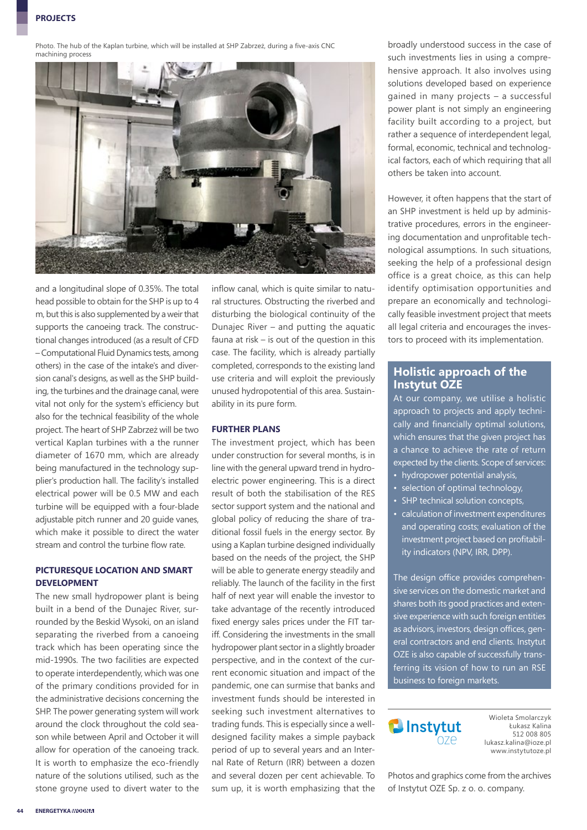Photo. The hub of the Kaplan turbine, which will be installed at SHP Zabrzeż, during a five-axis CNC machining process



and a longitudinal slope of 0.35%. The total head possible to obtain for the SHP is up to 4 m, but this is also supplemented by a weir that supports the canoeing track. The constructional changes introduced (as a result of CFD – Computational Fluid Dynamics tests, among others) in the case of the intake's and diversion canal's designs, as well as the SHP building, the turbines and the drainage canal, were vital not only for the system's efficiency but also for the technical feasibility of the whole project. The heart of SHP Zabrzeż will be two vertical Kaplan turbines with a the runner diameter of 1670 mm, which are already being manufactured in the technology supplier's production hall. The facility's installed electrical power will be 0.5 MW and each turbine will be equipped with a four-blade adjustable pitch runner and 20 guide vanes, which make it possible to direct the water stream and control the turbine flow rate.

#### **PICTURESQUE LOCATION AND SMART DEVELOPMENT**

The new small hydropower plant is being built in a bend of the Dunajec River, surrounded by the Beskid Wysoki, on an island separating the riverbed from a canoeing track which has been operating since the mid-1990s. The two facilities are expected to operate interdependently, which was one of the primary conditions provided for in the administrative decisions concerning the SHP. The power generating system will work around the clock throughout the cold season while between April and October it will allow for operation of the canoeing track. It is worth to emphasize the eco-friendly nature of the solutions utilised, such as the stone groyne used to divert water to the inflow canal, which is quite similar to natural structures. Obstructing the riverbed and disturbing the biological continuity of the Dunajec River – and putting the aquatic fauna at risk – is out of the question in this case. The facility, which is already partially completed, corresponds to the existing land use criteria and will exploit the previously unused hydropotential of this area. Sustainability in its pure form.

#### **FURTHER PLANS**

The investment project, which has been under construction for several months, is in line with the general upward trend in hydroelectric power engineering. This is a direct result of both the stabilisation of the RES sector support system and the national and global policy of reducing the share of traditional fossil fuels in the energy sector. By using a Kaplan turbine designed individually based on the needs of the project, the SHP will be able to generate energy steadily and reliably. The launch of the facility in the first half of next year will enable the investor to take advantage of the recently introduced fixed energy sales prices under the FIT tariff. Considering the investments in the small hydropower plant sector in a slightly broader perspective, and in the context of the current economic situation and impact of the pandemic, one can surmise that banks and investment funds should be interested in seeking such investment alternatives to trading funds. This is especially since a welldesigned facility makes a simple payback period of up to several years and an Internal Rate of Return (IRR) between a dozen and several dozen per cent achievable. To sum up, it is worth emphasizing that the

broadly understood success in the case of such investments lies in using a comprehensive approach. It also involves using solutions developed based on experience gained in many projects – a successful power plant is not simply an engineering facility built according to a project, but rather a sequence of interdependent legal, formal, economic, technical and technological factors, each of which requiring that all others be taken into account.

However, it often happens that the start of an SHP investment is held up by administrative procedures, errors in the engineering documentation and unprofitable technological assumptions. In such situations, seeking the help of a professional design office is a great choice, as this can help identify optimisation opportunities and prepare an economically and technologically feasible investment project that meets all legal criteria and encourages the investors to proceed with its implementation.

#### **Holistic approach of the Instytut OZE**

At our company, we utilise a holistic approach to projects and apply technically and financially optimal solutions, which ensures that the given project has a chance to achieve the rate of return expected by the clients. Scope of services:

- hydropower potential analysis,
- selection of optimal technology,
- SHP technical solution concepts,
- calculation of investment expenditures and operating costs; evaluation of the investment project based on profitability indicators (NPV, IRR, DPP).

The design office provides comprehensive services on the domestic market and shares both its good practices and extensive experience with such foreign entities as advisors, investors, design offices, general contractors and end clients. Instytut OZE is also capable of successfully transferring its vision of how to run an RSE business to foreign markets.



Wioleta Smolarczyk Łukasz Kalina 512 008 805 lukasz.kalina@ioze.pl www.instytutoze.pl

Photos and graphics come from the archives of Instytut OZE Sp. z o. o. company.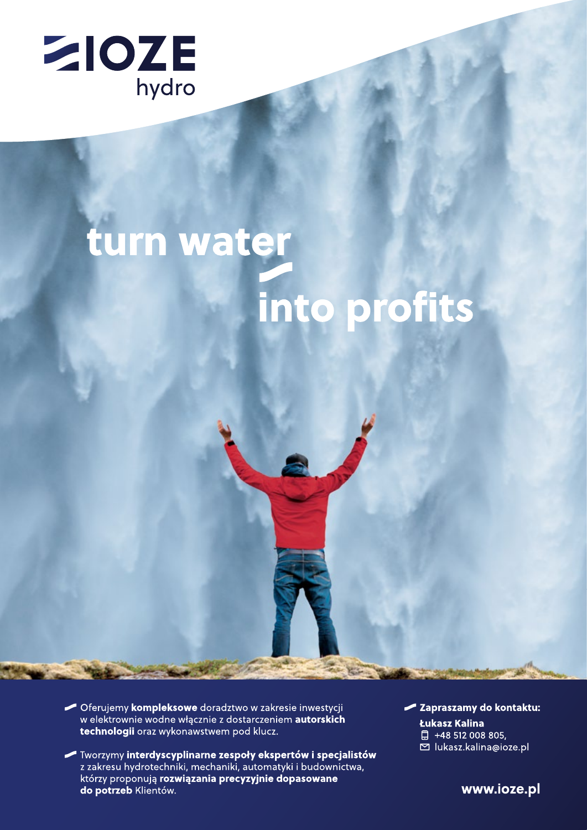

# turn water into profits

- Oferujemy kompleksowe doradztwo w zakresie inwestycji w elektrownie wodne włącznie z dostarczeniem autorskich technologii oraz wykonawstwem pod klucz.
- Tworzymy interdyscyplinarne zespoły ekspertów i specjalistów z zakresu hydrotechniki, mechaniki, automatyki i budownictwa, którzy proponują rozwiązania precyzyjnie dopasowane do potrzeb Klientów.

Zapraszamy do kontaktu: Łukasz Kalina □ +48 512 008 805, ⊠ lukasz.kalina@ioze.pl

www.ioze.pl